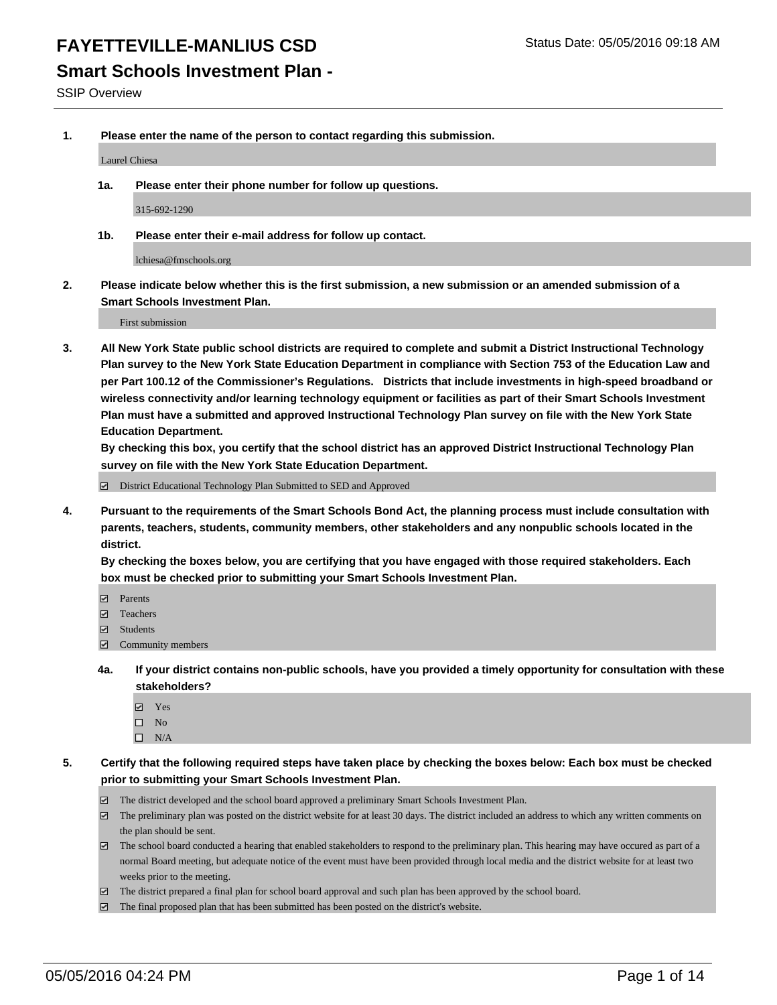#### **Smart Schools Investment Plan -**

SSIP Overview

**1. Please enter the name of the person to contact regarding this submission.**

Laurel Chiesa

**1a. Please enter their phone number for follow up questions.**

315-692-1290

**1b. Please enter their e-mail address for follow up contact.**

lchiesa@fmschools.org

**2. Please indicate below whether this is the first submission, a new submission or an amended submission of a Smart Schools Investment Plan.**

First submission

**3. All New York State public school districts are required to complete and submit a District Instructional Technology Plan survey to the New York State Education Department in compliance with Section 753 of the Education Law and per Part 100.12 of the Commissioner's Regulations. Districts that include investments in high-speed broadband or wireless connectivity and/or learning technology equipment or facilities as part of their Smart Schools Investment Plan must have a submitted and approved Instructional Technology Plan survey on file with the New York State Education Department.** 

**By checking this box, you certify that the school district has an approved District Instructional Technology Plan survey on file with the New York State Education Department.**

■ District Educational Technology Plan Submitted to SED and Approved

**4. Pursuant to the requirements of the Smart Schools Bond Act, the planning process must include consultation with parents, teachers, students, community members, other stakeholders and any nonpublic schools located in the district.** 

**By checking the boxes below, you are certifying that you have engaged with those required stakeholders. Each box must be checked prior to submitting your Smart Schools Investment Plan.**

- **Parents**
- □ Teachers
- Students
- $\boxdot$  Community members
- **4a. If your district contains non-public schools, have you provided a timely opportunity for consultation with these stakeholders?**
	- Yes
	- $\square$  No
	- $\Box$  N/A
- **5. Certify that the following required steps have taken place by checking the boxes below: Each box must be checked prior to submitting your Smart Schools Investment Plan.**
	- The district developed and the school board approved a preliminary Smart Schools Investment Plan.
	- The preliminary plan was posted on the district website for at least 30 days. The district included an address to which any written comments on the plan should be sent.
	- $\Box$  The school board conducted a hearing that enabled stakeholders to respond to the preliminary plan. This hearing may have occured as part of a normal Board meeting, but adequate notice of the event must have been provided through local media and the district website for at least two weeks prior to the meeting.
	- The district prepared a final plan for school board approval and such plan has been approved by the school board.
	- The final proposed plan that has been submitted has been posted on the district's website.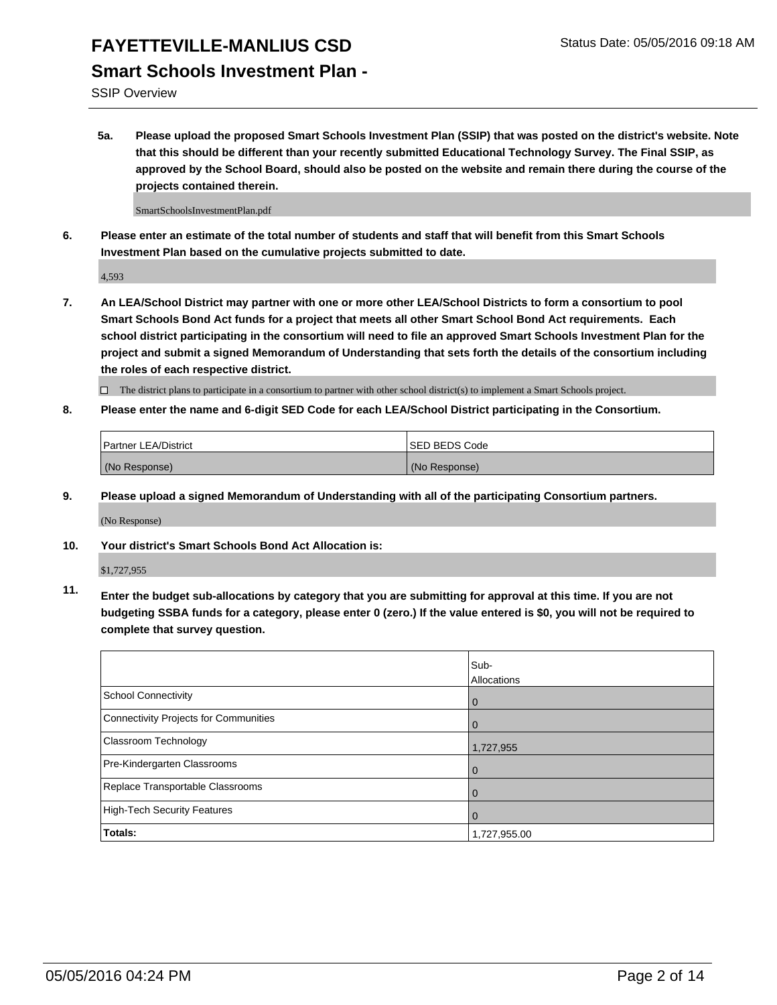### **FAYETTEVILLE-MANLIUS CSD** Status Date: 05/05/2016 09:18 AM **Smart Schools Investment Plan -**

SSIP Overview

**5a. Please upload the proposed Smart Schools Investment Plan (SSIP) that was posted on the district's website. Note that this should be different than your recently submitted Educational Technology Survey. The Final SSIP, as approved by the School Board, should also be posted on the website and remain there during the course of the projects contained therein.**

SmartSchoolsInvestmentPlan.pdf

**6. Please enter an estimate of the total number of students and staff that will benefit from this Smart Schools Investment Plan based on the cumulative projects submitted to date.**

4,593

**7. An LEA/School District may partner with one or more other LEA/School Districts to form a consortium to pool Smart Schools Bond Act funds for a project that meets all other Smart School Bond Act requirements. Each school district participating in the consortium will need to file an approved Smart Schools Investment Plan for the project and submit a signed Memorandum of Understanding that sets forth the details of the consortium including the roles of each respective district.**

 $\Box$  The district plans to participate in a consortium to partner with other school district(s) to implement a Smart Schools project.

**8. Please enter the name and 6-digit SED Code for each LEA/School District participating in the Consortium.**

| Partner LEA/District | <b>ISED BEDS Code</b> |
|----------------------|-----------------------|
| (No Response)        | (No Response)         |

**9. Please upload a signed Memorandum of Understanding with all of the participating Consortium partners.**

(No Response)

**10. Your district's Smart Schools Bond Act Allocation is:**

\$1,727,955

**11. Enter the budget sub-allocations by category that you are submitting for approval at this time. If you are not budgeting SSBA funds for a category, please enter 0 (zero.) If the value entered is \$0, you will not be required to complete that survey question.**

|                                       | Sub-<br>Allocations |
|---------------------------------------|---------------------|
| <b>School Connectivity</b>            | 0                   |
| Connectivity Projects for Communities | 0                   |
| <b>Classroom Technology</b>           | 1,727,955           |
| Pre-Kindergarten Classrooms           | $\mathbf 0$         |
| Replace Transportable Classrooms      | $\Omega$            |
| High-Tech Security Features           | 0                   |
| <b>Totals:</b>                        | 1,727,955.00        |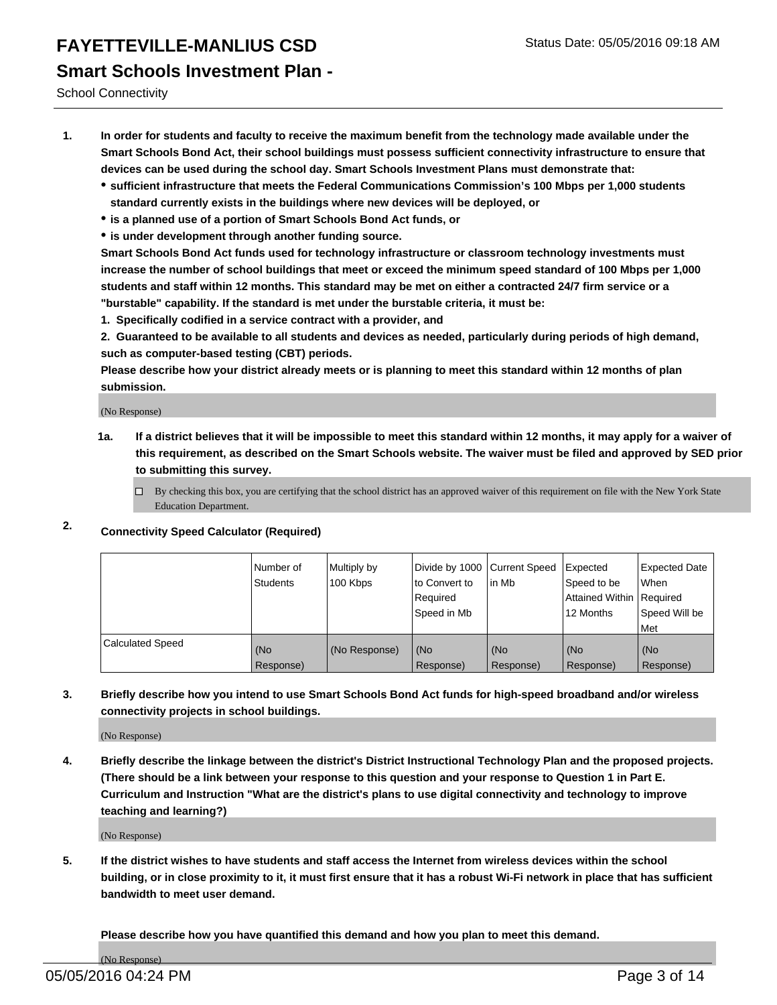### **FAYETTEVILLE-MANLIUS CSD** Status Date: 05/05/2016 09:18 AM **Smart Schools Investment Plan -**

School Connectivity

- **1. In order for students and faculty to receive the maximum benefit from the technology made available under the Smart Schools Bond Act, their school buildings must possess sufficient connectivity infrastructure to ensure that devices can be used during the school day. Smart Schools Investment Plans must demonstrate that:**
	- **sufficient infrastructure that meets the Federal Communications Commission's 100 Mbps per 1,000 students standard currently exists in the buildings where new devices will be deployed, or**
	- **is a planned use of a portion of Smart Schools Bond Act funds, or**
	- **is under development through another funding source.**

**Smart Schools Bond Act funds used for technology infrastructure or classroom technology investments must increase the number of school buildings that meet or exceed the minimum speed standard of 100 Mbps per 1,000 students and staff within 12 months. This standard may be met on either a contracted 24/7 firm service or a "burstable" capability. If the standard is met under the burstable criteria, it must be:**

**1. Specifically codified in a service contract with a provider, and**

**2. Guaranteed to be available to all students and devices as needed, particularly during periods of high demand, such as computer-based testing (CBT) periods.**

**Please describe how your district already meets or is planning to meet this standard within 12 months of plan submission.**

(No Response)

- **1a. If a district believes that it will be impossible to meet this standard within 12 months, it may apply for a waiver of this requirement, as described on the Smart Schools website. The waiver must be filed and approved by SED prior to submitting this survey.**
	- By checking this box, you are certifying that the school district has an approved waiver of this requirement on file with the New York State Education Department.
- **2. Connectivity Speed Calculator (Required)**

|                         | Number of<br>Students | Multiply by<br>100 Kbps | Divide by 1000 Current Speed<br>to Convert to<br>Required<br>Speed in Mb | lin Mb           | Expected<br>Speed to be<br>Attained Within   Required<br>12 Months | <b>Expected Date</b><br>l When<br>Speed Will be<br>l Met |
|-------------------------|-----------------------|-------------------------|--------------------------------------------------------------------------|------------------|--------------------------------------------------------------------|----------------------------------------------------------|
| <b>Calculated Speed</b> | (No<br>Response)      | (No Response)           | (No<br>Response)                                                         | (No<br>Response) | (No<br>Response)                                                   | l (No<br>Response)                                       |

#### **3. Briefly describe how you intend to use Smart Schools Bond Act funds for high-speed broadband and/or wireless connectivity projects in school buildings.**

(No Response)

**4. Briefly describe the linkage between the district's District Instructional Technology Plan and the proposed projects. (There should be a link between your response to this question and your response to Question 1 in Part E. Curriculum and Instruction "What are the district's plans to use digital connectivity and technology to improve teaching and learning?)**

(No Response)

**5. If the district wishes to have students and staff access the Internet from wireless devices within the school building, or in close proximity to it, it must first ensure that it has a robust Wi-Fi network in place that has sufficient bandwidth to meet user demand.**

**Please describe how you have quantified this demand and how you plan to meet this demand.**

(No Response)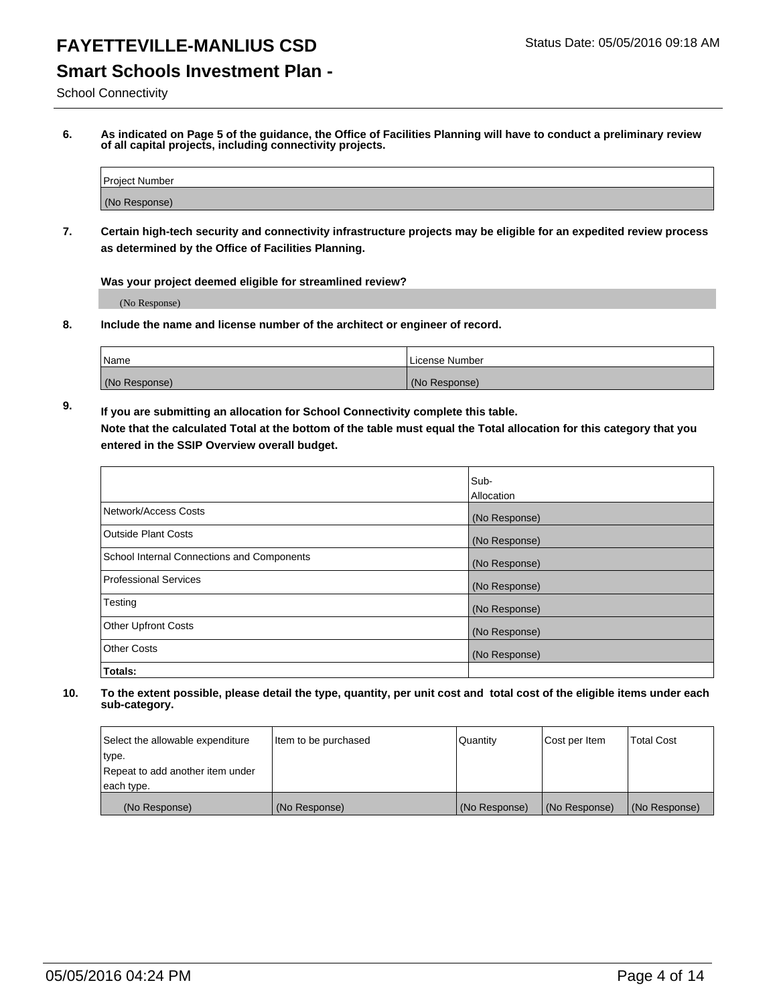#### **Smart Schools Investment Plan -**

School Connectivity

**6. As indicated on Page 5 of the guidance, the Office of Facilities Planning will have to conduct a preliminary review of all capital projects, including connectivity projects.**

| Project Number |  |
|----------------|--|
| (No Response)  |  |

**7. Certain high-tech security and connectivity infrastructure projects may be eligible for an expedited review process as determined by the Office of Facilities Planning.**

**Was your project deemed eligible for streamlined review?**

(No Response)

**8. Include the name and license number of the architect or engineer of record.**

| 'Name         | i License Number |
|---------------|------------------|
| (No Response) | (No Response)    |

**9. If you are submitting an allocation for School Connectivity complete this table. Note that the calculated Total at the bottom of the table must equal the Total allocation for this category that you entered in the SSIP Overview overall budget.** 

|                                            | Sub-              |
|--------------------------------------------|-------------------|
|                                            | <b>Allocation</b> |
| Network/Access Costs                       | (No Response)     |
| <b>Outside Plant Costs</b>                 | (No Response)     |
| School Internal Connections and Components | (No Response)     |
| <b>Professional Services</b>               | (No Response)     |
| Testing                                    | (No Response)     |
| <b>Other Upfront Costs</b>                 | (No Response)     |
| <b>Other Costs</b>                         | (No Response)     |
| Totals:                                    |                   |

| Select the allowable expenditure | Item to be purchased | Quantity      | Cost per Item | Total Cost    |
|----------------------------------|----------------------|---------------|---------------|---------------|
| type.                            |                      |               |               |               |
| Repeat to add another item under |                      |               |               |               |
| each type.                       |                      |               |               |               |
| (No Response)                    | (No Response)        | (No Response) | (No Response) | (No Response) |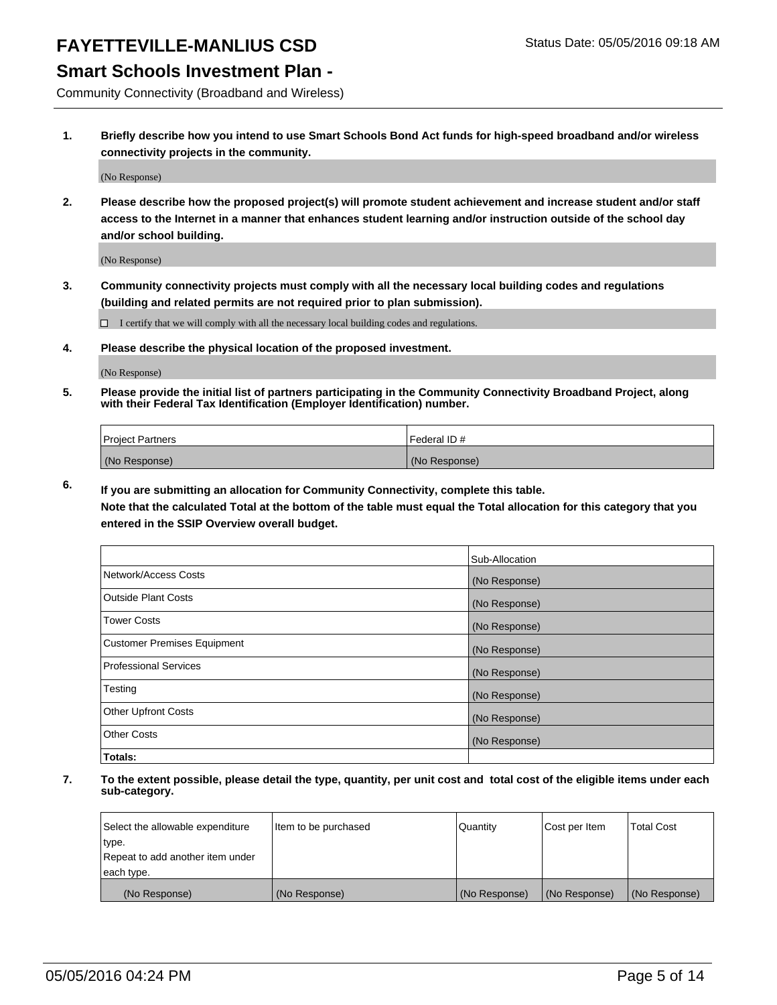#### **Smart Schools Investment Plan -**

Community Connectivity (Broadband and Wireless)

**1. Briefly describe how you intend to use Smart Schools Bond Act funds for high-speed broadband and/or wireless connectivity projects in the community.**

(No Response)

**2. Please describe how the proposed project(s) will promote student achievement and increase student and/or staff access to the Internet in a manner that enhances student learning and/or instruction outside of the school day and/or school building.**

(No Response)

**3. Community connectivity projects must comply with all the necessary local building codes and regulations (building and related permits are not required prior to plan submission).**

 $\Box$  I certify that we will comply with all the necessary local building codes and regulations.

**4. Please describe the physical location of the proposed investment.**

(No Response)

**5. Please provide the initial list of partners participating in the Community Connectivity Broadband Project, along with their Federal Tax Identification (Employer Identification) number.**

| <b>Project Partners</b> | I Federal ID # |
|-------------------------|----------------|
| (No Response)           | (No Response)  |

**6. If you are submitting an allocation for Community Connectivity, complete this table.**

**Note that the calculated Total at the bottom of the table must equal the Total allocation for this category that you entered in the SSIP Overview overall budget.**

|                                    | Sub-Allocation |
|------------------------------------|----------------|
| Network/Access Costs               | (No Response)  |
| Outside Plant Costs                | (No Response)  |
| <b>Tower Costs</b>                 | (No Response)  |
| <b>Customer Premises Equipment</b> | (No Response)  |
| Professional Services              | (No Response)  |
| Testing                            | (No Response)  |
| <b>Other Upfront Costs</b>         | (No Response)  |
| Other Costs                        | (No Response)  |
| Totals:                            |                |

| Select the allowable expenditure | Item to be purchased | Quantity      | Cost per Item | <b>Total Cost</b> |
|----------------------------------|----------------------|---------------|---------------|-------------------|
| 'type.                           |                      |               |               |                   |
| Repeat to add another item under |                      |               |               |                   |
| each type.                       |                      |               |               |                   |
| (No Response)                    | (No Response)        | (No Response) | (No Response) | (No Response)     |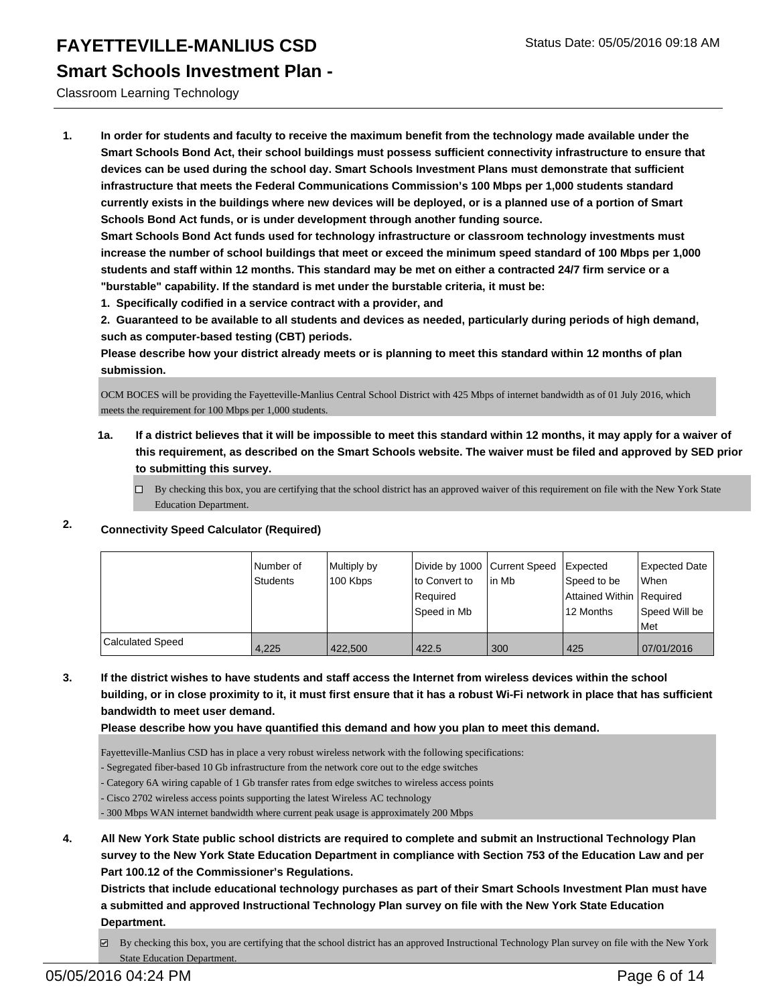**Smart Schools Investment Plan -**

Classroom Learning Technology

**1. In order for students and faculty to receive the maximum benefit from the technology made available under the Smart Schools Bond Act, their school buildings must possess sufficient connectivity infrastructure to ensure that devices can be used during the school day. Smart Schools Investment Plans must demonstrate that sufficient infrastructure that meets the Federal Communications Commission's 100 Mbps per 1,000 students standard currently exists in the buildings where new devices will be deployed, or is a planned use of a portion of Smart Schools Bond Act funds, or is under development through another funding source.**

**Smart Schools Bond Act funds used for technology infrastructure or classroom technology investments must increase the number of school buildings that meet or exceed the minimum speed standard of 100 Mbps per 1,000 students and staff within 12 months. This standard may be met on either a contracted 24/7 firm service or a "burstable" capability. If the standard is met under the burstable criteria, it must be:**

**1. Specifically codified in a service contract with a provider, and**

**2. Guaranteed to be available to all students and devices as needed, particularly during periods of high demand, such as computer-based testing (CBT) periods.**

**Please describe how your district already meets or is planning to meet this standard within 12 months of plan submission.**

OCM BOCES will be providing the Fayetteville-Manlius Central School District with 425 Mbps of internet bandwidth as of 01 July 2016, which meets the requirement for 100 Mbps per 1,000 students.

**1a. If a district believes that it will be impossible to meet this standard within 12 months, it may apply for a waiver of this requirement, as described on the Smart Schools website. The waiver must be filed and approved by SED prior to submitting this survey.**

 $\Box$  By checking this box, you are certifying that the school district has an approved waiver of this requirement on file with the New York State Education Department.

**2. Connectivity Speed Calculator (Required)**

|                  | l Number of<br>Students | Multiply by<br>100 Kbps | Divide by 1000 Current Speed   Expected<br>to Convert to<br>Required<br> Speed in Mb | l in Mb | Speed to be<br>Attained Within   Required<br>12 Months | <b>Expected Date</b><br>l When<br>Speed Will be<br>l Met |
|------------------|-------------------------|-------------------------|--------------------------------------------------------------------------------------|---------|--------------------------------------------------------|----------------------------------------------------------|
| Calculated Speed | 4.225                   | 422,500                 | 422.5                                                                                | 300     | 425                                                    | 07/01/2016                                               |

**3. If the district wishes to have students and staff access the Internet from wireless devices within the school building, or in close proximity to it, it must first ensure that it has a robust Wi-Fi network in place that has sufficient bandwidth to meet user demand.**

**Please describe how you have quantified this demand and how you plan to meet this demand.**

Fayetteville-Manlius CSD has in place a very robust wireless network with the following specifications:

- Segregated fiber-based 10 Gb infrastructure from the network core out to the edge switches

Category 6A wiring capable of 1 Gb transfer rates from edge switches to wireless access points

- Cisco 2702 wireless access points supporting the latest Wireless AC technology

- 300 Mbps WAN internet bandwidth where current peak usage is approximately 200 Mbps

**4. All New York State public school districts are required to complete and submit an Instructional Technology Plan survey to the New York State Education Department in compliance with Section 753 of the Education Law and per Part 100.12 of the Commissioner's Regulations.**

**Districts that include educational technology purchases as part of their Smart Schools Investment Plan must have a submitted and approved Instructional Technology Plan survey on file with the New York State Education Department.**

By checking this box, you are certifying that the school district has an approved Instructional Technology Plan survey on file with the New York State Education Department.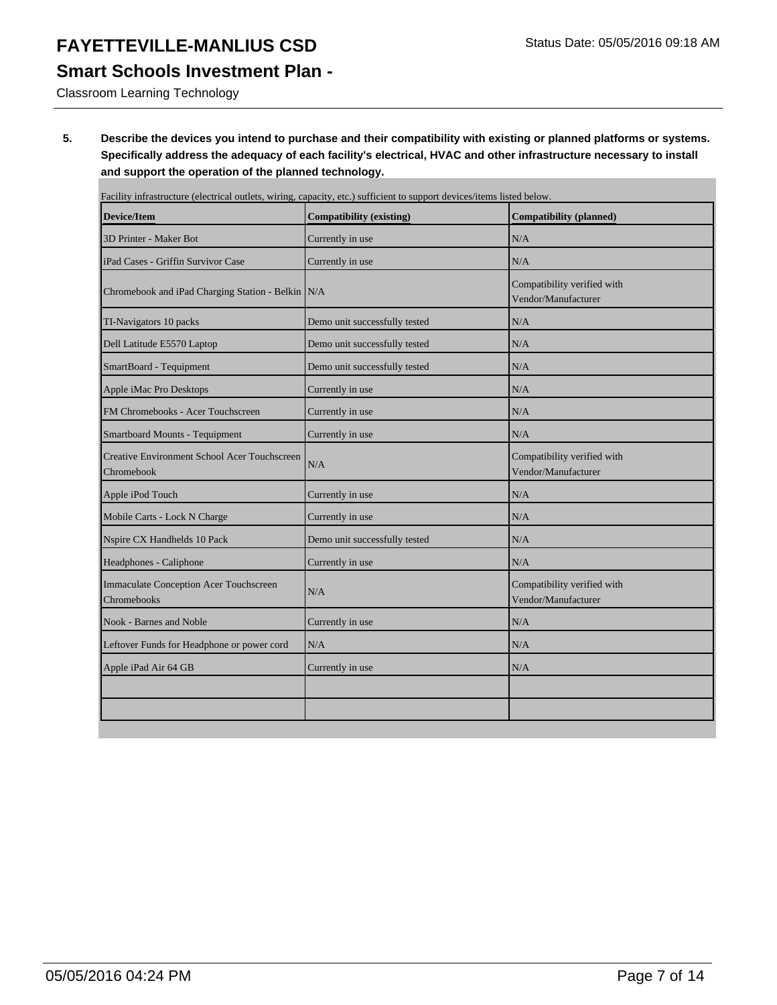### **Smart Schools Investment Plan -**

Classroom Learning Technology

**5. Describe the devices you intend to purchase and their compatibility with existing or planned platforms or systems. Specifically address the adequacy of each facility's electrical, HVAC and other infrastructure necessary to install and support the operation of the planned technology.**

| Facility infrastructure (electrical outlets, wiring, capacity, etc.) sufficient to support devices/items listed below. |                                                    |
|------------------------------------------------------------------------------------------------------------------------|----------------------------------------------------|
| <b>Compatibility (existing)</b>                                                                                        | <b>Compatibility (planned)</b>                     |
| Currently in use                                                                                                       | N/A                                                |
| Currently in use                                                                                                       | N/A                                                |
| Chromebook and iPad Charging Station - Belkin N/A                                                                      | Compatibility verified with<br>Vendor/Manufacturer |
| Demo unit successfully tested                                                                                          | N/A                                                |
| Demo unit successfully tested                                                                                          | N/A                                                |
| Demo unit successfully tested                                                                                          | N/A                                                |
| Currently in use                                                                                                       | N/A                                                |
| Currently in use                                                                                                       | N/A                                                |
| Currently in use                                                                                                       | N/A                                                |
| N/A                                                                                                                    | Compatibility verified with<br>Vendor/Manufacturer |
| Currently in use                                                                                                       | N/A                                                |
| Currently in use                                                                                                       | N/A                                                |
| Demo unit successfully tested                                                                                          | N/A                                                |
| Currently in use                                                                                                       | N/A                                                |
| N/A                                                                                                                    | Compatibility verified with<br>Vendor/Manufacturer |
| Currently in use                                                                                                       | N/A                                                |
| N/A                                                                                                                    | N/A                                                |
| Currently in use                                                                                                       | N/A                                                |
|                                                                                                                        |                                                    |
|                                                                                                                        |                                                    |
|                                                                                                                        |                                                    |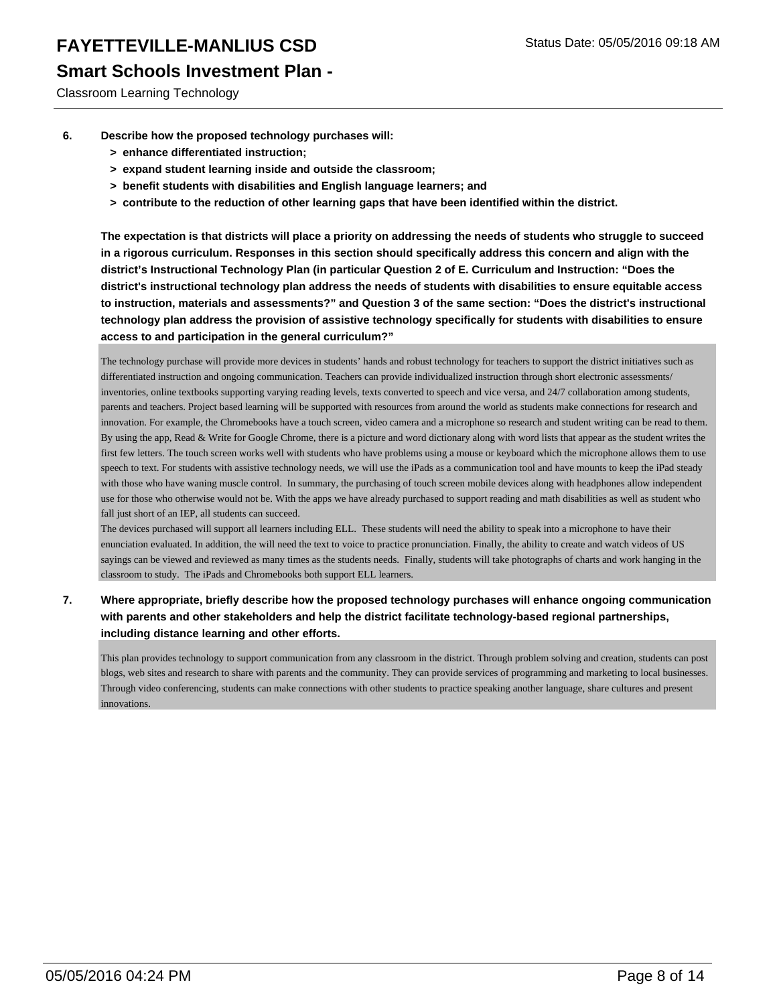#### **Smart Schools Investment Plan -**

Classroom Learning Technology

- **6. Describe how the proposed technology purchases will:**
	- **> enhance differentiated instruction;**
	- **> expand student learning inside and outside the classroom;**
	- **> benefit students with disabilities and English language learners; and**
	- **> contribute to the reduction of other learning gaps that have been identified within the district.**

**The expectation is that districts will place a priority on addressing the needs of students who struggle to succeed in a rigorous curriculum. Responses in this section should specifically address this concern and align with the district's Instructional Technology Plan (in particular Question 2 of E. Curriculum and Instruction: "Does the district's instructional technology plan address the needs of students with disabilities to ensure equitable access to instruction, materials and assessments?" and Question 3 of the same section: "Does the district's instructional technology plan address the provision of assistive technology specifically for students with disabilities to ensure access to and participation in the general curriculum?"**

The technology purchase will provide more devices in students' hands and robust technology for teachers to support the district initiatives such as differentiated instruction and ongoing communication. Teachers can provide individualized instruction through short electronic assessments/ inventories, online textbooks supporting varying reading levels, texts converted to speech and vice versa, and 24/7 collaboration among students, parents and teachers. Project based learning will be supported with resources from around the world as students make connections for research and innovation. For example, the Chromebooks have a touch screen, video camera and a microphone so research and student writing can be read to them. By using the app, Read & Write for Google Chrome, there is a picture and word dictionary along with word lists that appear as the student writes the first few letters. The touch screen works well with students who have problems using a mouse or keyboard which the microphone allows them to use speech to text. For students with assistive technology needs, we will use the iPads as a communication tool and have mounts to keep the iPad steady with those who have waning muscle control. In summary, the purchasing of touch screen mobile devices along with headphones allow independent use for those who otherwise would not be. With the apps we have already purchased to support reading and math disabilities as well as student who fall just short of an IEP, all students can succeed.

The devices purchased will support all learners including ELL. These students will need the ability to speak into a microphone to have their enunciation evaluated. In addition, the will need the text to voice to practice pronunciation. Finally, the ability to create and watch videos of US sayings can be viewed and reviewed as many times as the students needs. Finally, students will take photographs of charts and work hanging in the classroom to study. The iPads and Chromebooks both support ELL learners.

**7. Where appropriate, briefly describe how the proposed technology purchases will enhance ongoing communication with parents and other stakeholders and help the district facilitate technology-based regional partnerships, including distance learning and other efforts.**

This plan provides technology to support communication from any classroom in the district. Through problem solving and creation, students can post blogs, web sites and research to share with parents and the community. They can provide services of programming and marketing to local businesses. Through video conferencing, students can make connections with other students to practice speaking another language, share cultures and present innovations.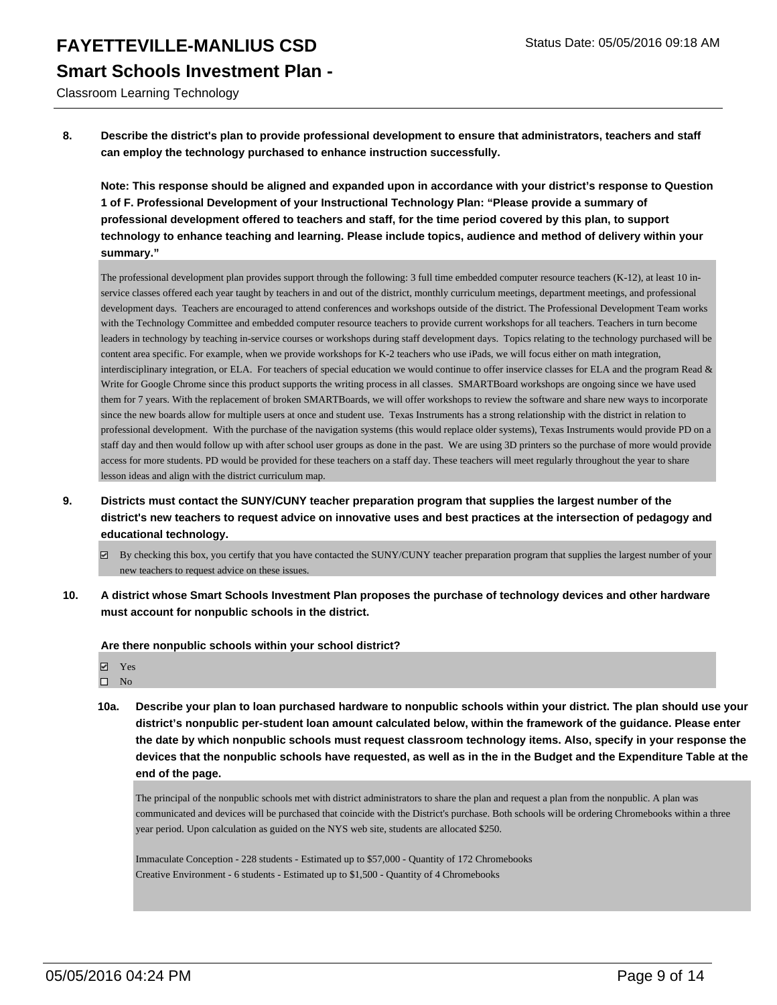**FAYETTEVILLE-MANLIUS CSD** Status Date: 05/05/2016 09:18 AM **Smart Schools Investment Plan -**

Classroom Learning Technology

**8. Describe the district's plan to provide professional development to ensure that administrators, teachers and staff can employ the technology purchased to enhance instruction successfully.**

**Note: This response should be aligned and expanded upon in accordance with your district's response to Question 1 of F. Professional Development of your Instructional Technology Plan: "Please provide a summary of professional development offered to teachers and staff, for the time period covered by this plan, to support technology to enhance teaching and learning. Please include topics, audience and method of delivery within your summary."**

The professional development plan provides support through the following: 3 full time embedded computer resource teachers (K-12), at least 10 inservice classes offered each year taught by teachers in and out of the district, monthly curriculum meetings, department meetings, and professional development days. Teachers are encouraged to attend conferences and workshops outside of the district. The Professional Development Team works with the Technology Committee and embedded computer resource teachers to provide current workshops for all teachers. Teachers in turn become leaders in technology by teaching in-service courses or workshops during staff development days. Topics relating to the technology purchased will be content area specific. For example, when we provide workshops for K-2 teachers who use iPads, we will focus either on math integration, interdisciplinary integration, or ELA. For teachers of special education we would continue to offer inservice classes for ELA and the program Read  $\&$ Write for Google Chrome since this product supports the writing process in all classes. SMARTBoard workshops are ongoing since we have used them for 7 years. With the replacement of broken SMARTBoards, we will offer workshops to review the software and share new ways to incorporate since the new boards allow for multiple users at once and student use. Texas Instruments has a strong relationship with the district in relation to professional development. With the purchase of the navigation systems (this would replace older systems), Texas Instruments would provide PD on a staff day and then would follow up with after school user groups as done in the past. We are using 3D printers so the purchase of more would provide access for more students. PD would be provided for these teachers on a staff day. These teachers will meet regularly throughout the year to share lesson ideas and align with the district curriculum map.

- **9. Districts must contact the SUNY/CUNY teacher preparation program that supplies the largest number of the district's new teachers to request advice on innovative uses and best practices at the intersection of pedagogy and educational technology.**
	- By checking this box, you certify that you have contacted the SUNY/CUNY teacher preparation program that supplies the largest number of your new teachers to request advice on these issues.
- **10. A district whose Smart Schools Investment Plan proposes the purchase of technology devices and other hardware must account for nonpublic schools in the district.**

**Are there nonpublic schools within your school district?**

**Ø** Yes  $\square$  No

**10a. Describe your plan to loan purchased hardware to nonpublic schools within your district. The plan should use your district's nonpublic per-student loan amount calculated below, within the framework of the guidance. Please enter the date by which nonpublic schools must request classroom technology items. Also, specify in your response the devices that the nonpublic schools have requested, as well as in the in the Budget and the Expenditure Table at the end of the page.**

The principal of the nonpublic schools met with district administrators to share the plan and request a plan from the nonpublic. A plan was communicated and devices will be purchased that coincide with the District's purchase. Both schools will be ordering Chromebooks within a three year period. Upon calculation as guided on the NYS web site, students are allocated \$250.

Immaculate Conception - 228 students - Estimated up to \$57,000 - Quantity of 172 Chromebooks Creative Environment - 6 students - Estimated up to \$1,500 - Quantity of 4 Chromebooks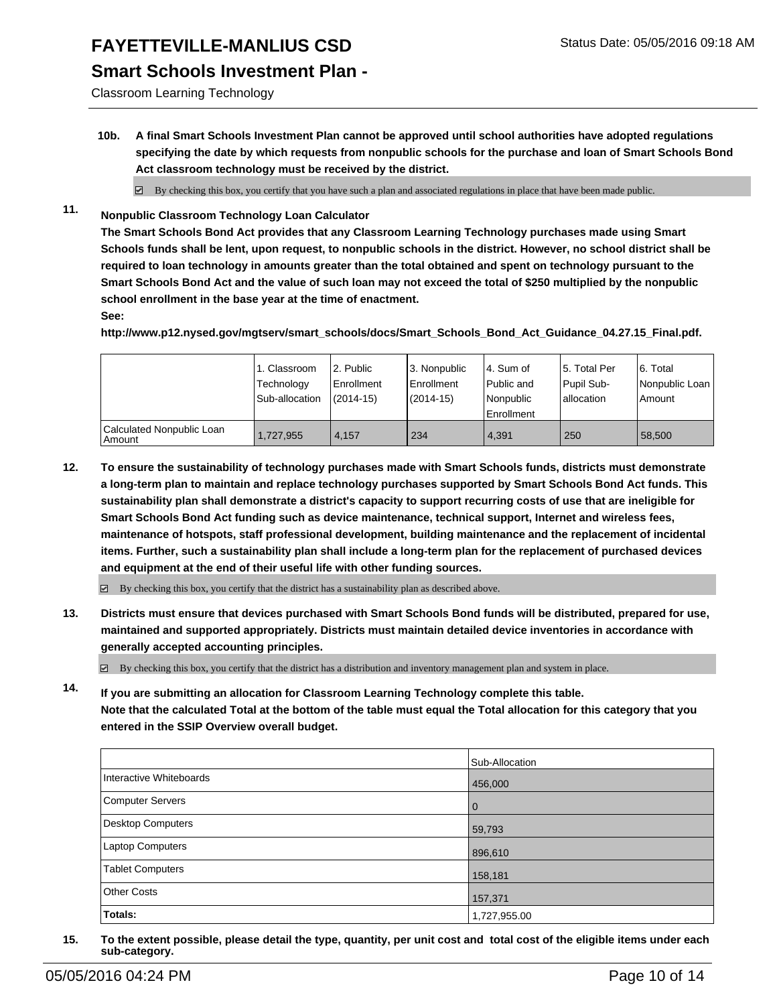#### **Smart Schools Investment Plan -**

Classroom Learning Technology

**10b. A final Smart Schools Investment Plan cannot be approved until school authorities have adopted regulations specifying the date by which requests from nonpublic schools for the purchase and loan of Smart Schools Bond Act classroom technology must be received by the district.**

 $\boxtimes$  By checking this box, you certify that you have such a plan and associated regulations in place that have been made public.

**11. Nonpublic Classroom Technology Loan Calculator**

**The Smart Schools Bond Act provides that any Classroom Learning Technology purchases made using Smart Schools funds shall be lent, upon request, to nonpublic schools in the district. However, no school district shall be required to loan technology in amounts greater than the total obtained and spent on technology pursuant to the Smart Schools Bond Act and the value of such loan may not exceed the total of \$250 multiplied by the nonpublic school enrollment in the base year at the time of enactment.**

**See:**

**http://www.p12.nysed.gov/mgtserv/smart\_schools/docs/Smart\_Schools\_Bond\_Act\_Guidance\_04.27.15\_Final.pdf.**

|                                       | 1. Classroom<br>Technology<br>Sub-allocation | 2. Public<br><b>Enrollment</b><br>$(2014 - 15)$ | 3. Nonpublic<br>Enrollment<br>$(2014 - 15)$ | l 4. Sum of<br>l Public and<br>Nonpublic<br>Enrollment | 5. Total Per<br>Pupil Sub-<br>Iallocation | 6. Total<br>Nonpublic Loan<br>Amount |
|---------------------------------------|----------------------------------------------|-------------------------------------------------|---------------------------------------------|--------------------------------------------------------|-------------------------------------------|--------------------------------------|
| Calculated Nonpublic Loan<br>  Amount | 1,727,955                                    | 4.157                                           | 234                                         | 4.391                                                  | 250                                       | 58,500                               |

**12. To ensure the sustainability of technology purchases made with Smart Schools funds, districts must demonstrate a long-term plan to maintain and replace technology purchases supported by Smart Schools Bond Act funds. This sustainability plan shall demonstrate a district's capacity to support recurring costs of use that are ineligible for Smart Schools Bond Act funding such as device maintenance, technical support, Internet and wireless fees, maintenance of hotspots, staff professional development, building maintenance and the replacement of incidental items. Further, such a sustainability plan shall include a long-term plan for the replacement of purchased devices and equipment at the end of their useful life with other funding sources.**

 $\boxtimes$  By checking this box, you certify that the district has a sustainability plan as described above.

**13. Districts must ensure that devices purchased with Smart Schools Bond funds will be distributed, prepared for use, maintained and supported appropriately. Districts must maintain detailed device inventories in accordance with generally accepted accounting principles.**

 $\boxtimes$  By checking this box, you certify that the district has a distribution and inventory management plan and system in place.

**14. If you are submitting an allocation for Classroom Learning Technology complete this table. Note that the calculated Total at the bottom of the table must equal the Total allocation for this category that you entered in the SSIP Overview overall budget.**

|                          | Sub-Allocation |
|--------------------------|----------------|
| Interactive Whiteboards  | 456,000        |
| Computer Servers         | $\mathbf 0$    |
| <b>Desktop Computers</b> | 59,793         |
| Laptop Computers         | 896,610        |
| <b>Tablet Computers</b>  | 158,181        |
| <b>Other Costs</b>       | 157,371        |
| Totals:                  | 1,727,955.00   |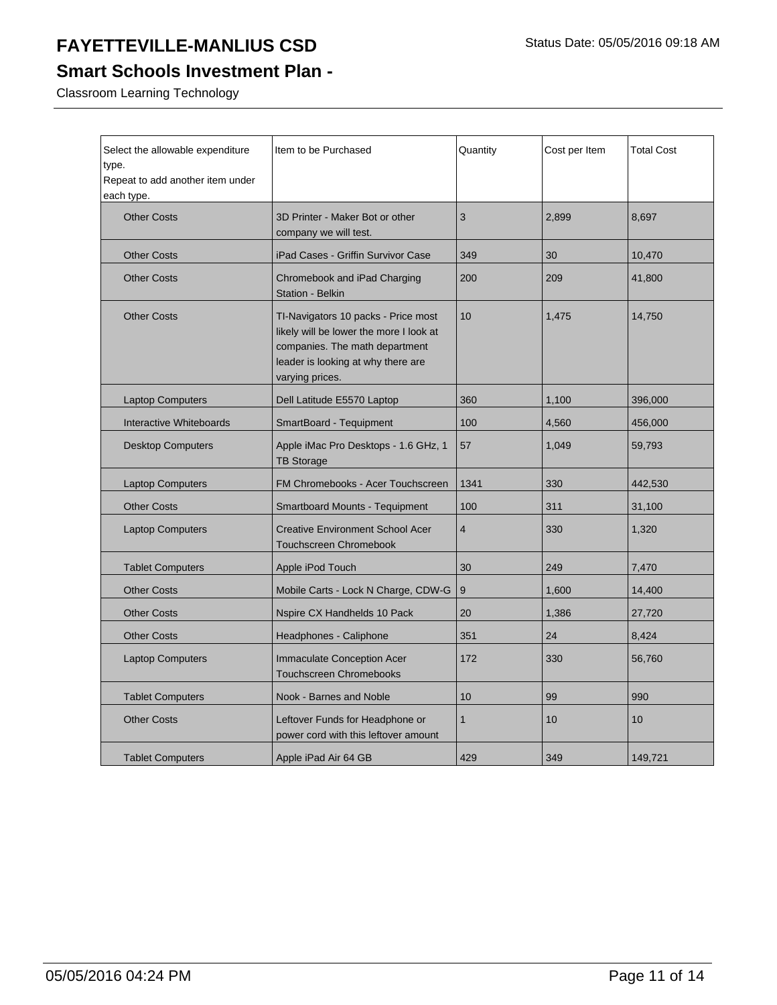## **Smart Schools Investment Plan -**

Classroom Learning Technology

| Select the allowable expenditure<br>type.<br>Repeat to add another item under<br>each type. | Item to be Purchased                                                                                                                                                      | Quantity       | Cost per Item | <b>Total Cost</b> |
|---------------------------------------------------------------------------------------------|---------------------------------------------------------------------------------------------------------------------------------------------------------------------------|----------------|---------------|-------------------|
| <b>Other Costs</b>                                                                          | 3D Printer - Maker Bot or other<br>company we will test.                                                                                                                  | 3              | 2,899         | 8,697             |
| <b>Other Costs</b>                                                                          | iPad Cases - Griffin Survivor Case                                                                                                                                        | 349            | 30            | 10,470            |
| <b>Other Costs</b>                                                                          | Chromebook and iPad Charging<br>Station - Belkin                                                                                                                          | 200            | 209           | 41,800            |
| <b>Other Costs</b>                                                                          | TI-Navigators 10 packs - Price most<br>likely will be lower the more I look at<br>companies. The math department<br>leader is looking at why there are<br>varying prices. | 10             | 1,475         | 14,750            |
| <b>Laptop Computers</b>                                                                     | Dell Latitude E5570 Laptop                                                                                                                                                | 360            | 1,100         | 396,000           |
| Interactive Whiteboards                                                                     | SmartBoard - Tequipment                                                                                                                                                   | 100            | 4,560         | 456,000           |
| <b>Desktop Computers</b>                                                                    | Apple iMac Pro Desktops - 1.6 GHz, 1<br><b>TB Storage</b>                                                                                                                 | 57             | 1,049         | 59,793            |
| <b>Laptop Computers</b>                                                                     | FM Chromebooks - Acer Touchscreen                                                                                                                                         | 1341           | 330           | 442,530           |
| <b>Other Costs</b>                                                                          | <b>Smartboard Mounts - Tequipment</b>                                                                                                                                     | 100            | 311           | 31,100            |
| <b>Laptop Computers</b>                                                                     | <b>Creative Environment School Acer</b><br><b>Touchscreen Chromebook</b>                                                                                                  | $\overline{4}$ | 330           | 1,320             |
| <b>Tablet Computers</b>                                                                     | Apple iPod Touch                                                                                                                                                          | 30             | 249           | 7,470             |
| <b>Other Costs</b>                                                                          | Mobile Carts - Lock N Charge, CDW-G                                                                                                                                       | 9              | 1,600         | 14,400            |
| <b>Other Costs</b>                                                                          | Nspire CX Handhelds 10 Pack                                                                                                                                               | 20             | 1,386         | 27,720            |
| <b>Other Costs</b>                                                                          | Headphones - Caliphone                                                                                                                                                    | 351            | 24            | 8,424             |
| <b>Laptop Computers</b>                                                                     | <b>Immaculate Conception Acer</b><br><b>Touchscreen Chromebooks</b>                                                                                                       | 172            | 330           | 56,760            |
| <b>Tablet Computers</b>                                                                     | Nook - Barnes and Noble                                                                                                                                                   | 10             | 99            | 990               |
| <b>Other Costs</b>                                                                          | Leftover Funds for Headphone or<br>power cord with this leftover amount                                                                                                   | 1              | 10            | 10                |
| <b>Tablet Computers</b>                                                                     | Apple iPad Air 64 GB                                                                                                                                                      | 429            | 349           | 149,721           |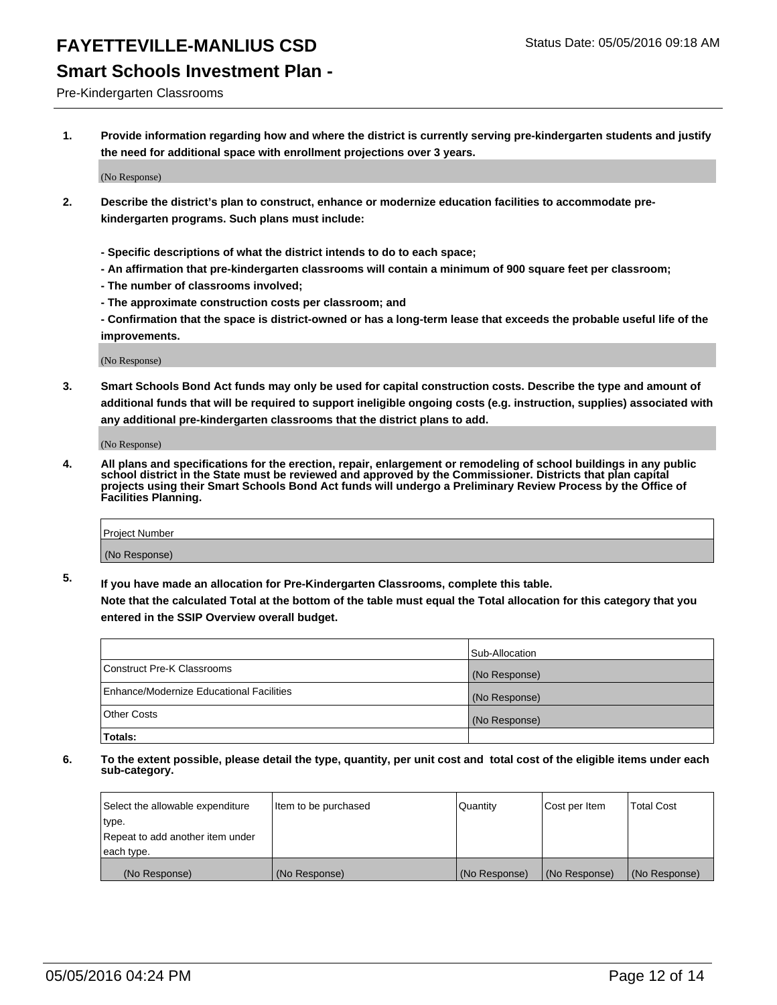#### **Smart Schools Investment Plan -**

Pre-Kindergarten Classrooms

**1. Provide information regarding how and where the district is currently serving pre-kindergarten students and justify the need for additional space with enrollment projections over 3 years.**

(No Response)

- **2. Describe the district's plan to construct, enhance or modernize education facilities to accommodate prekindergarten programs. Such plans must include:**
	- **Specific descriptions of what the district intends to do to each space;**
	- **An affirmation that pre-kindergarten classrooms will contain a minimum of 900 square feet per classroom;**
	- **The number of classrooms involved;**
	- **The approximate construction costs per classroom; and**
	- **Confirmation that the space is district-owned or has a long-term lease that exceeds the probable useful life of the improvements.**

(No Response)

**3. Smart Schools Bond Act funds may only be used for capital construction costs. Describe the type and amount of additional funds that will be required to support ineligible ongoing costs (e.g. instruction, supplies) associated with any additional pre-kindergarten classrooms that the district plans to add.**

(No Response)

**4. All plans and specifications for the erection, repair, enlargement or remodeling of school buildings in any public school district in the State must be reviewed and approved by the Commissioner. Districts that plan capital projects using their Smart Schools Bond Act funds will undergo a Preliminary Review Process by the Office of Facilities Planning.**

| Project Number |  |
|----------------|--|
| (No Response)  |  |

**5. If you have made an allocation for Pre-Kindergarten Classrooms, complete this table. Note that the calculated Total at the bottom of the table must equal the Total allocation for this category that you**

**entered in the SSIP Overview overall budget.**

|                                          | Sub-Allocation |
|------------------------------------------|----------------|
| Construct Pre-K Classrooms               | (No Response)  |
| Enhance/Modernize Educational Facilities | (No Response)  |
| Other Costs                              | (No Response)  |
| Totals:                                  |                |

| Select the allowable expenditure | Item to be purchased | l Quantitv    | Cost per Item | <b>Total Cost</b> |
|----------------------------------|----------------------|---------------|---------------|-------------------|
| type.                            |                      |               |               |                   |
| Repeat to add another item under |                      |               |               |                   |
| each type.                       |                      |               |               |                   |
| (No Response)                    | (No Response)        | (No Response) | (No Response) | (No Response)     |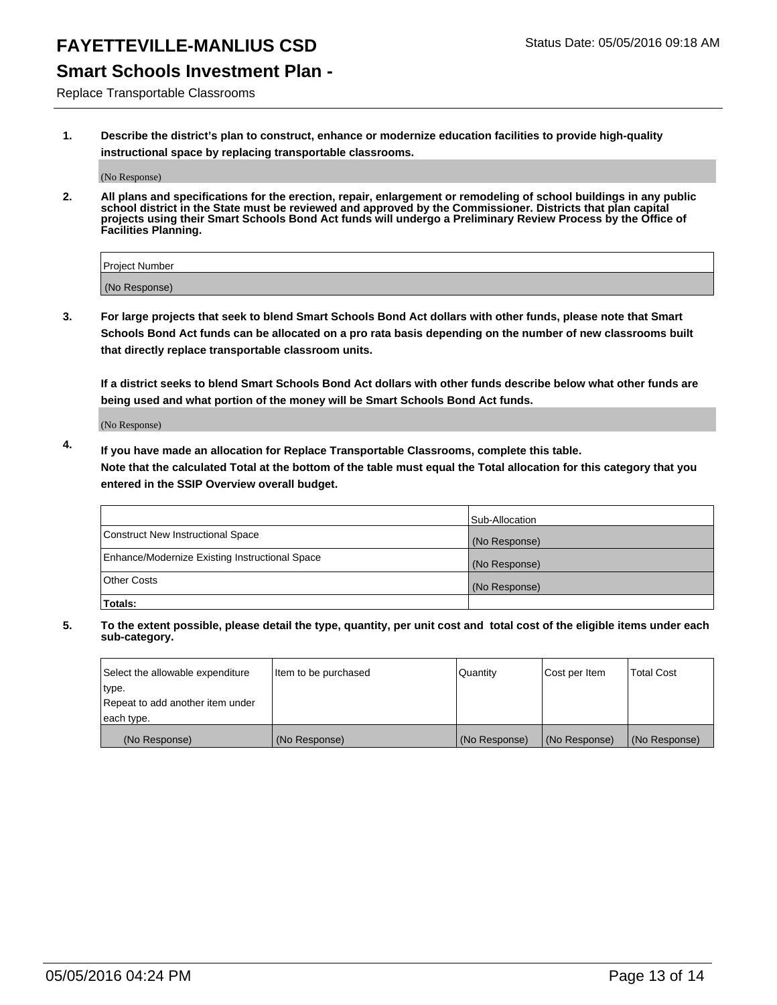#### **Smart Schools Investment Plan -**

Replace Transportable Classrooms

**1. Describe the district's plan to construct, enhance or modernize education facilities to provide high-quality instructional space by replacing transportable classrooms.**

(No Response)

**2. All plans and specifications for the erection, repair, enlargement or remodeling of school buildings in any public school district in the State must be reviewed and approved by the Commissioner. Districts that plan capital projects using their Smart Schools Bond Act funds will undergo a Preliminary Review Process by the Office of Facilities Planning.**

| Project Number |  |
|----------------|--|
| (No Response)  |  |

**3. For large projects that seek to blend Smart Schools Bond Act dollars with other funds, please note that Smart Schools Bond Act funds can be allocated on a pro rata basis depending on the number of new classrooms built that directly replace transportable classroom units.**

**If a district seeks to blend Smart Schools Bond Act dollars with other funds describe below what other funds are being used and what portion of the money will be Smart Schools Bond Act funds.**

(No Response)

**4. If you have made an allocation for Replace Transportable Classrooms, complete this table. Note that the calculated Total at the bottom of the table must equal the Total allocation for this category that you entered in the SSIP Overview overall budget.**

|                                                | Sub-Allocation |
|------------------------------------------------|----------------|
| Construct New Instructional Space              | (No Response)  |
| Enhance/Modernize Existing Instructional Space | (No Response)  |
| <b>Other Costs</b>                             | (No Response)  |
| Totals:                                        |                |

| Select the allowable expenditure | Item to be purchased | <b>Quantity</b> | Cost per Item | <b>Total Cost</b> |
|----------------------------------|----------------------|-----------------|---------------|-------------------|
| type.                            |                      |                 |               |                   |
| Repeat to add another item under |                      |                 |               |                   |
| each type.                       |                      |                 |               |                   |
| (No Response)                    | (No Response)        | (No Response)   | (No Response) | (No Response)     |